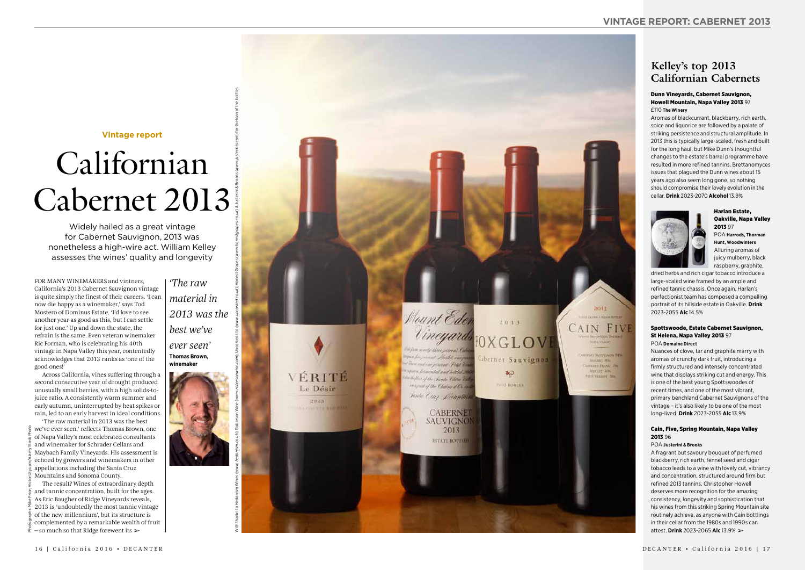# **Vintage report**

# Californian Cabernet 2013

Widely hailed as a great vintage for Cabernet Sauvignon, 2013 was nonetheless a high-wire act. William Kelley assesses the wines' quality and longevity

FOR MANY WINEMAKERS and vintners, California's 2013 Cabernet Sauvignon vintage is quite simply the finest of their careers. ' I can now die happy as a winemaker,' says Tod Mostero of Dominus Estate. 'I'd love to see another year as good as this, but I can settle for just one.' Up and down the state, the refrain is the same. Even veteran winemaker Ric Forman, who is celebrating his 40th vintage in Napa Valley this year, contentedly acknowledges that 2013 ranks as 'one of the good ones!'

The result? Wines of extraordinary depth and tannic concentration, built for the ages. As Eric Baugher of Ridge Vineyards reveals, 2013 is 'undoubtedly the most tannic vintage of the new millennium', but its structure is complemented by a remarkable wealth of fruit  $-$  so much so that Ridge forewent its  $\geq$ 

Across California, vines suffering through a second consecutive year of drought produced unusually small berries, with a high solids-tojuice ratio. A consistently warm summer and early autumn, uninterrupted by heat spikes or rain, led to an early harvest in ideal conditions.

'The raw material in 2013 was the best we've ever seen,' reflects Thomas Brown, one of Napa Valley's most celebrated consultants and winemaker for Schrader Cellars and Maybach Family Vineyards. His assessment is echoed by growers and winemakers in other appellations including the Santa Cruz Mountains and Sonoma County.

# **Kelley's top 2013 Californian Cabernets**

#### Dunn Vineyards, Cabernet Sauvignon, Howell Mountain, Napa Valley 2013 97 £110 **The Winery**

Aromas of blackcurrant, blackberry, rich earth, spice and liquorice are followed by a palate of striking persistence and structural amplitude. In 2013 this is typically large-scaled, fresh and built for the long haul, but Mike Dunn's thoughtful changes to the estate's barrel programme have resulted in more refined tannins. Brettanomyces issues that plagued the Dunn wines about 15 years ago also seem long gone, so nothing should compromise their lovely evolution in the cellar. **Drink** 2023-2070 **Alcohol** 13.9%



Harlan Estate, Oakville, Napa Valley 2013 97 POA **Harrods, Thorman Hunt, Woodwinters** Alluring aromas of juicy mulberry, black raspberry, graphite,

dried herbs and rich cigar tobacco introduce a large-scaled wine framed by an ample and refined tannic chassis. Once again, Harlan's perfectionist team has composed a compelling portrait of its hillside estate in Oakville. **Drink** 2023-2055 **Alc** 14.5%

#### Spottswoode, Estate Cabernet Sauvignon, St Helena, Napa Valley 2013 97 POA **Domaine Direct**

Nuances of clove, tar and graphite marry with aromas of crunchy dark fruit, introducing a firmly structured and intensely concentrated wine that displays striking cut and energy. This is one of the best young Spottswoodes of recent times, and one of the most vibrant, primary benchland Cabernet Sauvignons of the vintage – it's also likely to be one of the most long-lived. **Drink** 2023-2055 **Alc** 13.9%

#### Cain, Five, Spring Mountain, Napa Valley 2013 96

#### POA **Justerini & Brooks**

A fragrant but savoury bouquet of perfumed blackberry, rich earth, fennel seed and cigar tobacco leads to a wine with lovely cut, vibrancy and concentration, structured around firm but refined 2013 tannins. Christopher Howell deserves more recognition for the amazing consistency, longevity and sophistication that his wines from this striking Spring Mountain site routinely achieve, as anyone with Cain bottlings in their cellar from the 1980s and 1990s can attest. **Drink** 2023-2065 **Alc** 13.9% ➢

*'The raw material in 2013 was the best we've ever seen'* **Thomas Brown, winemaker**

With thanks to Hedonism Wines (www.hedonism.co.uk); Roberson Wine (www.mcor.weblue.td (www.uncorked.co.uk); Honest (www.honestgrapes.co.uk) & Justerini & Brooks (www.justerinis.com) for the bottles



2013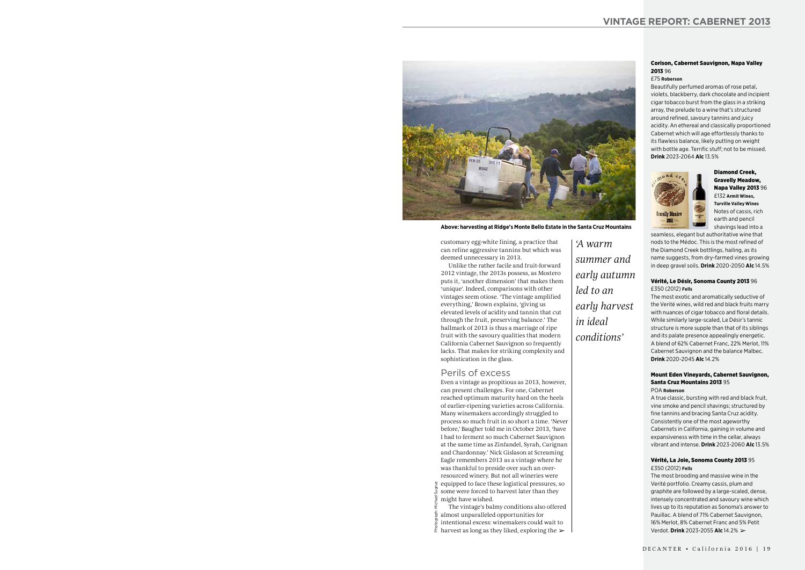#### Corison, Cabernet Sauvignon, Napa Valley 2013 96

#### £75 **Roberson**

Beautifully perfumed aromas of rose petal, violets, blackberry, dark chocolate and incipient cigar tobacco burst from the glass in a striking array, the prelude to a wine that's structured around refined, savoury tannins and juicy acidity. An ethereal and classically proportioned Cabernet which will age effortlessly thanks to its flawless balance, likely putting on weight with bottle age. Terrific stuff; not to be missed. **Drink** 2023-2064 **Alc** 13.5%



Diamond Creek, Gravelly Meadow, Napa Valley 2013 96 £132 **Armit Wines, Turville Valley Wines** Notes of cassis, rich earth and pencil shavings lead into a

seamless, elegant but authoritative wine that nods to the Médoc. This is the most refined of the Diamond Creek bottlings, hailing, as its name suggests, from dry-farmed vines growing in deep gravel soils. **Drink** 2020-2050 **Alc** 14.5%

#### Vérité, Le Désir, Sonoma County 2013 96 £350 (2012) **Fells**

The most exotic and aromatically seductive of the Verité wines, wild red and black fruits marry with nuances of cigar tobacco and floral details. While similarly large-scaled, Le Désir's tannic structure is more supple than that of its siblings and its palate presence appealingly energetic. A blend of 62% Cabernet Franc, 22% Merlot, 11% Cabernet Sauvignon and the balance Malbec. **Drink** 2020-2045 **Alc** 14.2%

#### Mount Eden Vineyards, Cabernet Sauvignon, Santa Cruz Mountains 2013 95 POA **Roberson**

A true classic, bursting with red and black fruit, vine smoke and pencil shavings; structured by fine tannins and bracing Santa Cruz acidity. Consistently one of the most ageworthy Cabernets in California, gaining in volume and expansiveness with time in the cellar, always vibrant and intense. **Drink** 2023-2060 **Alc** 13.5%

- some were forced to harvest later than they might have wished.
- The vintage's balmy conditions also offered
- almost unparalleled opportunities for
- intentional excess: winemakers could wait to Photograph: Michael Sugrue
- $\frac{2}{3}$  harvest as long as they liked, exploring the  $\geq$

#### Vérité, La Joie, Sonoma County 2013 95 £350 (2012) **Fells**

customary egg-white fining, a practice that can refine aggressive tannins but which was deemed unnecessary in 2013.

Unlike the rather facile and fruit-forward 2012 vintage, the 2013s possess, as Mostero puts it, 'another dimension' that makes them 'unique'. Indeed, comparisons with other vintages seem otiose. 'The vintage amplified everything,' Brown explains, 'giving us elevated levels of acidity and tannin that cut through the fruit, preserving balance.' The hallmark of 2013 is thus a marriage of ripe fruit with the savoury qualities that modern California Cabernet Sauvignon so frequently lacks. That makes for striking complexity and sophistication in the glass.

Perils of excess

The most brooding and massive wine in the Verité portfolio. Creamy cassis, plum and graphite are followed by a large-scaled, dense, intensely concentrated and savoury wine which lives up to its reputation as Sonoma's answer to Pauillac. A blend of 71% Cabernet Sauvignon, 16% Merlot, 8% Cabernet Franc and 5% Petit Verdot. **Drink** 2023-2055 **Alc** 14.2% ➢ ➢

Even a vintage as propitious as 2013, however, can present challenges. For one, Cabernet reached optimum maturity hard on the heels of earlier-ripening varieties across California. Many winemakers accordingly struggled to process so much fruit in so short a time. 'Never before,' Baugher told me in October 2013, 'have I had to ferment so much Cabernet Sauvignon at the same time as Zinfandel, Syrah, Carignan and Chardonnay.' Nick Gislason at Screaming Eagle remembers 2013 as a vintage where he was thankful to preside over such an overresourced winery. But not all wineries were equipped to face these logistical pressures, so

*'A warm summer and early autumn led to an early harvest* 

*in ideal* 

*conditions'*



**Above: harvesting at Ridge's Monte Bello Estate in the Santa Cruz Mountains**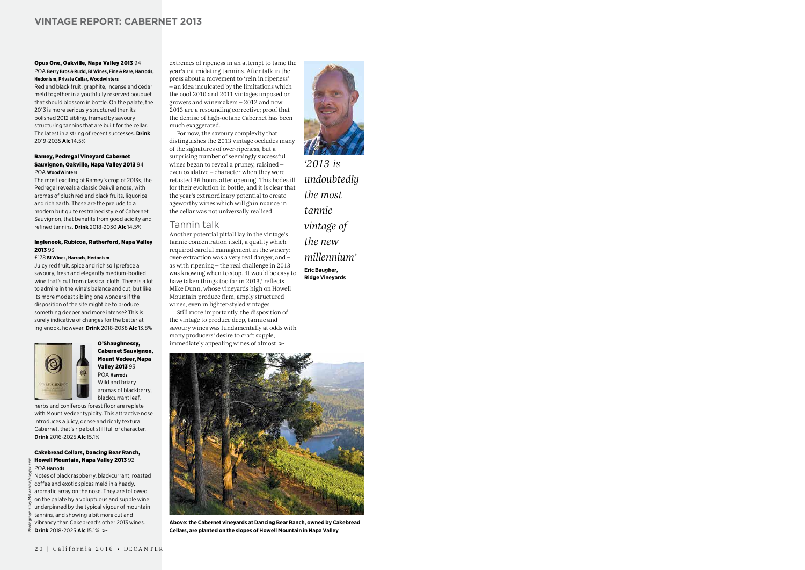#### Opus One, Oakville, Napa Valley 2013 94 POA **Berry Bros & Rudd, BI Wines, Fine & Rare, Harrods, Hedonism, Private Cellar, Woodwinters**

Red and black fruit, graphite, incense and cedar meld together in a youthfully reserved bouquet that should blossom in bottle. On the palate, the 2013 is more seriously structured than its polished 2012 sibling, framed by savoury structuring tannins that are built for the cellar. The latest in a string of recent successes. **Drink** 2019-2035 **Alc** 14.5%

#### Ramey, Pedregal Vineyard Cabernet Sauvignon, Oakville, Napa Valley 2013 94 POA **WoodWinters**

The most exciting of Ramey's crop of 2013s, the Pedregal reveals a classic Oakville nose, with aromas of plush red and black fruits, liquorice and rich earth. These are the prelude to a modern but quite restrained style of Cabernet Sauvignon, that benefits from good acidity and refined tannins. **Drink** 2018-2030 **Alc** 14.5%

#### Inglenook, Rubicon, Rutherford, Napa Valley 2013 93

#### £178 **BI Wines, Harrods, Hedonism**

Juicy red fruit, spice and rich soil preface a savoury, fresh and elegantly medium-bodied wine that's cut from classical cloth. There is a lot to admire in the wine's balance and cut, but like its more modest sibling one wonders if the disposition of the site might be to produce something deeper and more intense? This is surely indicative of changes for the better at Inglenook, however. **Drink** 2018-2038 **Alc** 13.8%



### O'Shaughnessy, Cabernet Sauvignon, Mount Vedeer, Napa Valley 2013 93 POA **Harrods**

Wild and briary aromas of blackberry, blackcurrant leaf,

herbs and coniferous forest floor are replete with Mount Vedeer typicity. This attractive nose introduces a juicy, dense and richly textural Cabernet, that's ripe but still full of character. **Drink** 2016-2025 **Alc** 15.1%

Still more importantly, the disposition of the vintage to produce deep, tannic and savoury wines was fundamentally at odds with many producers' desire to craft supple, immediately appealing wines of almost  $\blacktriangleright$ 

#### Cakebread Cellars, Dancing Bear Ranch, Howell Mountain, Napa Valley 2013 92 POA **Harrods**

Notes of black raspberry, blackcurrant, roasted coffee and exotic spices meld in a heady,

aromatic array on the nose. They are followed on the palate by a voluptuous and supple wine underpinned by the typical vigour of mountain tannins, and showing a bit more cut and vibrancy than Cakebread's other 2013 wines. **Drink** 2018-2025 **Alc** 15.1%

extremes of ripeness in an attempt to tame the year's intimidating tannins. After talk in the press about a movement to 'rein in ripeness' – an idea inculcated by the limitations which the cool 2010 and 2011 vintages imposed on growers and winemakers – 2012 and now 2013 are a resounding corrective; proof that the demise of high-octane Cabernet has been much exaggerated.

For now, the savoury complexity that distinguishes the 2013 vintage occludes many of the signatures of over-ripeness, but a surprising number of seemingly successful wines began to reveal a pruney, raisined – even oxidative – character when they were retasted 36 hours after opening. This bodes ill for their evolution in bottle, and it is clear that the year's extraordinary potential to create ageworthy wines which will gain nuance in the cellar was not universally realised.

## Tannin talk

Another potential pitfall lay in the vintage's tannic concentration itself, a quality which required careful management in the winery: over-extraction was a very real danger, and – as with ripening – the real challenge in 2013 was knowing when to stop. 'It would be easy to have taken things too far in 2013,' reflects Mike Dunn, whose vineyards high on Howell Mountain produce firm, amply structured wines, even in lighter-styled vintages.

*'2013 is undoubtedly the most tannic vintage of the new* 

*millennium'*

**Eric Baugher, Ridge Vineyards**



**Above: the Cabernet vineyards at Dancing Bear Ranch, owned by Cakebread**  ➢ **Cellars, are planted on the slopes of Howell Mountain in Napa Valley**